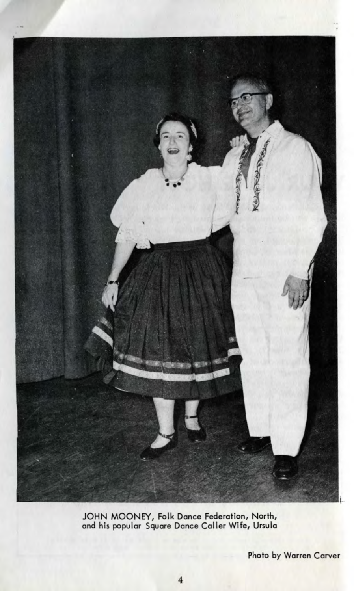

JOHN MOONEY, Folk Dance Federation, North, and his popular Square Dance Caller Wife, Ursula

Photo by Warren Carver